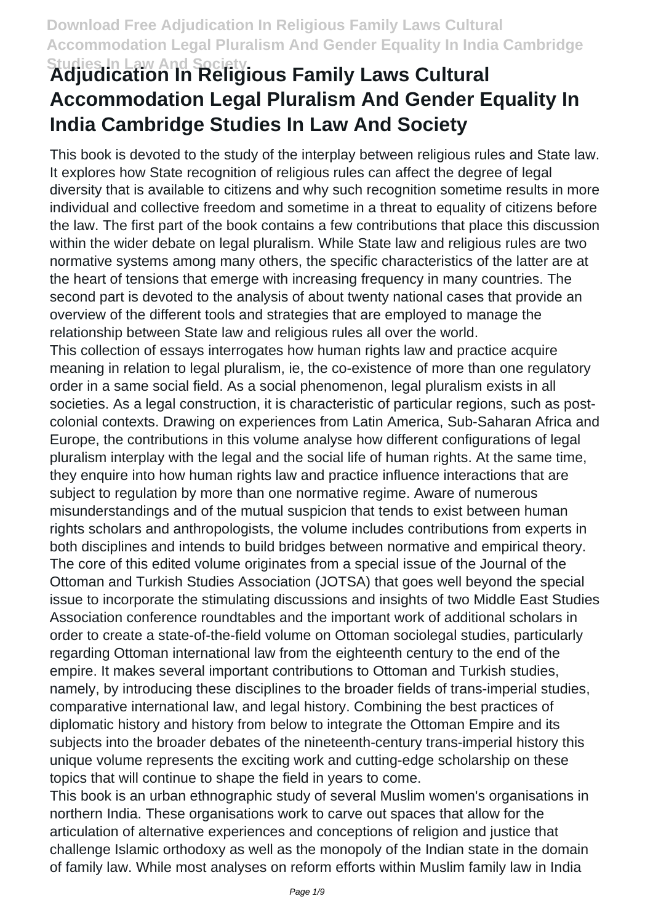# **Studies In Law And Society Adjudication In Religious Family Laws Cultural Accommodation Legal Pluralism And Gender Equality In India Cambridge Studies In Law And Society**

This book is devoted to the study of the interplay between religious rules and State law. It explores how State recognition of religious rules can affect the degree of legal diversity that is available to citizens and why such recognition sometime results in more individual and collective freedom and sometime in a threat to equality of citizens before the law. The first part of the book contains a few contributions that place this discussion within the wider debate on legal pluralism. While State law and religious rules are two normative systems among many others, the specific characteristics of the latter are at the heart of tensions that emerge with increasing frequency in many countries. The second part is devoted to the analysis of about twenty national cases that provide an overview of the different tools and strategies that are employed to manage the relationship between State law and religious rules all over the world.

This collection of essays interrogates how human rights law and practice acquire meaning in relation to legal pluralism, ie, the co-existence of more than one regulatory order in a same social field. As a social phenomenon, legal pluralism exists in all societies. As a legal construction, it is characteristic of particular regions, such as postcolonial contexts. Drawing on experiences from Latin America, Sub-Saharan Africa and Europe, the contributions in this volume analyse how different configurations of legal pluralism interplay with the legal and the social life of human rights. At the same time, they enquire into how human rights law and practice influence interactions that are subject to regulation by more than one normative regime. Aware of numerous misunderstandings and of the mutual suspicion that tends to exist between human rights scholars and anthropologists, the volume includes contributions from experts in both disciplines and intends to build bridges between normative and empirical theory. The core of this edited volume originates from a special issue of the Journal of the Ottoman and Turkish Studies Association (JOTSA) that goes well beyond the special issue to incorporate the stimulating discussions and insights of two Middle East Studies Association conference roundtables and the important work of additional scholars in order to create a state-of-the-field volume on Ottoman sociolegal studies, particularly regarding Ottoman international law from the eighteenth century to the end of the empire. It makes several important contributions to Ottoman and Turkish studies, namely, by introducing these disciplines to the broader fields of trans-imperial studies, comparative international law, and legal history. Combining the best practices of diplomatic history and history from below to integrate the Ottoman Empire and its subjects into the broader debates of the nineteenth-century trans-imperial history this unique volume represents the exciting work and cutting-edge scholarship on these topics that will continue to shape the field in years to come.

This book is an urban ethnographic study of several Muslim women's organisations in northern India. These organisations work to carve out spaces that allow for the articulation of alternative experiences and conceptions of religion and justice that challenge Islamic orthodoxy as well as the monopoly of the Indian state in the domain of family law. While most analyses on reform efforts within Muslim family law in India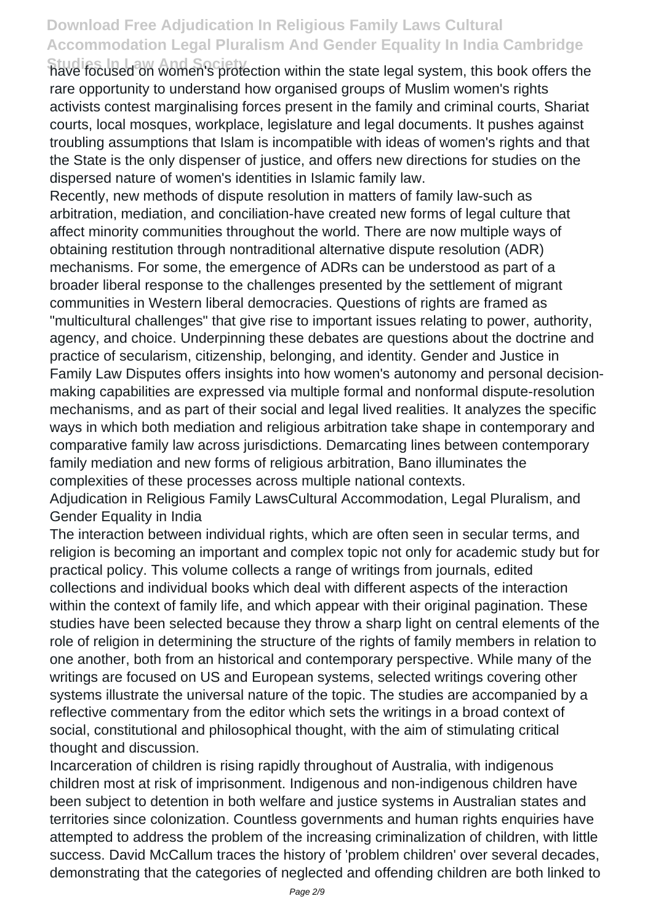**Studies In Law And Society** have focused on women's protection within the state legal system, this book offers the rare opportunity to understand how organised groups of Muslim women's rights activists contest marginalising forces present in the family and criminal courts, Shariat courts, local mosques, workplace, legislature and legal documents. It pushes against troubling assumptions that Islam is incompatible with ideas of women's rights and that the State is the only dispenser of justice, and offers new directions for studies on the dispersed nature of women's identities in Islamic family law.

Recently, new methods of dispute resolution in matters of family law-such as arbitration, mediation, and conciliation-have created new forms of legal culture that affect minority communities throughout the world. There are now multiple ways of obtaining restitution through nontraditional alternative dispute resolution (ADR) mechanisms. For some, the emergence of ADRs can be understood as part of a broader liberal response to the challenges presented by the settlement of migrant communities in Western liberal democracies. Questions of rights are framed as "multicultural challenges" that give rise to important issues relating to power, authority, agency, and choice. Underpinning these debates are questions about the doctrine and practice of secularism, citizenship, belonging, and identity. Gender and Justice in Family Law Disputes offers insights into how women's autonomy and personal decisionmaking capabilities are expressed via multiple formal and nonformal dispute-resolution mechanisms, and as part of their social and legal lived realities. It analyzes the specific ways in which both mediation and religious arbitration take shape in contemporary and comparative family law across jurisdictions. Demarcating lines between contemporary family mediation and new forms of religious arbitration, Bano illuminates the complexities of these processes across multiple national contexts.

Adjudication in Religious Family LawsCultural Accommodation, Legal Pluralism, and Gender Equality in India

The interaction between individual rights, which are often seen in secular terms, and religion is becoming an important and complex topic not only for academic study but for practical policy. This volume collects a range of writings from journals, edited collections and individual books which deal with different aspects of the interaction within the context of family life, and which appear with their original pagination. These studies have been selected because they throw a sharp light on central elements of the role of religion in determining the structure of the rights of family members in relation to one another, both from an historical and contemporary perspective. While many of the writings are focused on US and European systems, selected writings covering other systems illustrate the universal nature of the topic. The studies are accompanied by a reflective commentary from the editor which sets the writings in a broad context of social, constitutional and philosophical thought, with the aim of stimulating critical thought and discussion.

Incarceration of children is rising rapidly throughout of Australia, with indigenous children most at risk of imprisonment. Indigenous and non-indigenous children have been subject to detention in both welfare and justice systems in Australian states and territories since colonization. Countless governments and human rights enquiries have attempted to address the problem of the increasing criminalization of children, with little success. David McCallum traces the history of 'problem children' over several decades, demonstrating that the categories of neglected and offending children are both linked to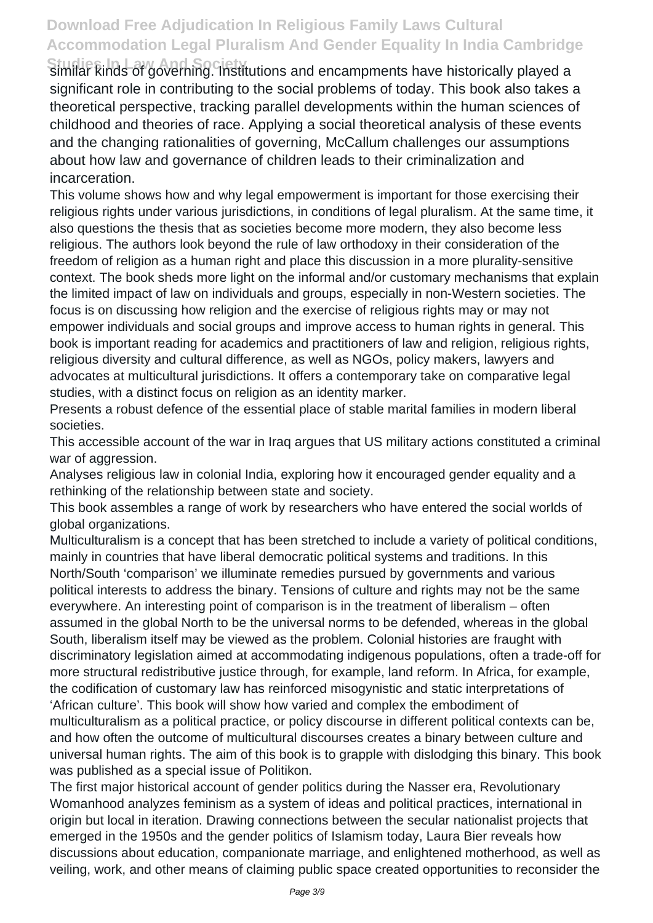**Studies In Law And Society** similar kinds of governing. Institutions and encampments have historically played a significant role in contributing to the social problems of today. This book also takes a theoretical perspective, tracking parallel developments within the human sciences of childhood and theories of race. Applying a social theoretical analysis of these events and the changing rationalities of governing, McCallum challenges our assumptions about how law and governance of children leads to their criminalization and incarceration.

This volume shows how and why legal empowerment is important for those exercising their religious rights under various jurisdictions, in conditions of legal pluralism. At the same time, it also questions the thesis that as societies become more modern, they also become less religious. The authors look beyond the rule of law orthodoxy in their consideration of the freedom of religion as a human right and place this discussion in a more plurality-sensitive context. The book sheds more light on the informal and/or customary mechanisms that explain the limited impact of law on individuals and groups, especially in non-Western societies. The focus is on discussing how religion and the exercise of religious rights may or may not empower individuals and social groups and improve access to human rights in general. This book is important reading for academics and practitioners of law and religion, religious rights, religious diversity and cultural difference, as well as NGOs, policy makers, lawyers and advocates at multicultural jurisdictions. It offers a contemporary take on comparative legal studies, with a distinct focus on religion as an identity marker.

Presents a robust defence of the essential place of stable marital families in modern liberal societies.

This accessible account of the war in Iraq argues that US military actions constituted a criminal war of aggression.

Analyses religious law in colonial India, exploring how it encouraged gender equality and a rethinking of the relationship between state and society.

This book assembles a range of work by researchers who have entered the social worlds of global organizations.

Multiculturalism is a concept that has been stretched to include a variety of political conditions, mainly in countries that have liberal democratic political systems and traditions. In this North/South 'comparison' we illuminate remedies pursued by governments and various political interests to address the binary. Tensions of culture and rights may not be the same everywhere. An interesting point of comparison is in the treatment of liberalism – often assumed in the global North to be the universal norms to be defended, whereas in the global South, liberalism itself may be viewed as the problem. Colonial histories are fraught with discriminatory legislation aimed at accommodating indigenous populations, often a trade-off for more structural redistributive justice through, for example, land reform. In Africa, for example, the codification of customary law has reinforced misogynistic and static interpretations of 'African culture'. This book will show how varied and complex the embodiment of multiculturalism as a political practice, or policy discourse in different political contexts can be, and how often the outcome of multicultural discourses creates a binary between culture and universal human rights. The aim of this book is to grapple with dislodging this binary. This book was published as a special issue of Politikon.

The first major historical account of gender politics during the Nasser era, Revolutionary Womanhood analyzes feminism as a system of ideas and political practices, international in origin but local in iteration. Drawing connections between the secular nationalist projects that emerged in the 1950s and the gender politics of Islamism today, Laura Bier reveals how discussions about education, companionate marriage, and enlightened motherhood, as well as veiling, work, and other means of claiming public space created opportunities to reconsider the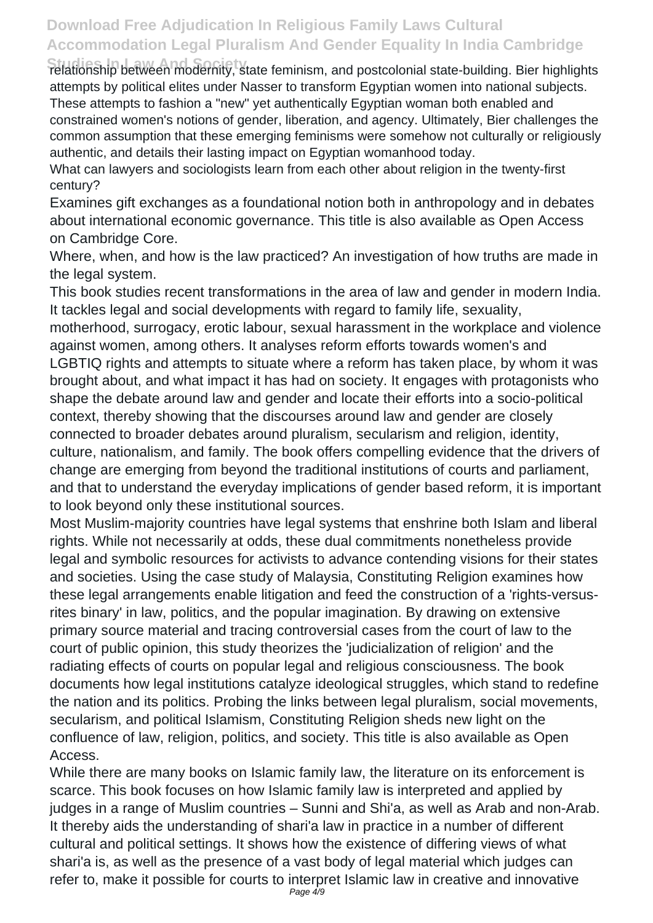**Studies In Law And Society** relationship between modernity, state feminism, and postcolonial state-building. Bier highlights attempts by political elites under Nasser to transform Egyptian women into national subjects. These attempts to fashion a "new" yet authentically Egyptian woman both enabled and constrained women's notions of gender, liberation, and agency. Ultimately, Bier challenges the common assumption that these emerging feminisms were somehow not culturally or religiously authentic, and details their lasting impact on Egyptian womanhood today.

What can lawyers and sociologists learn from each other about religion in the twenty-first century?

Examines gift exchanges as a foundational notion both in anthropology and in debates about international economic governance. This title is also available as Open Access on Cambridge Core.

Where, when, and how is the law practiced? An investigation of how truths are made in the legal system.

This book studies recent transformations in the area of law and gender in modern India. It tackles legal and social developments with regard to family life, sexuality,

motherhood, surrogacy, erotic labour, sexual harassment in the workplace and violence against women, among others. It analyses reform efforts towards women's and LGBTIQ rights and attempts to situate where a reform has taken place, by whom it was brought about, and what impact it has had on society. It engages with protagonists who shape the debate around law and gender and locate their efforts into a socio-political context, thereby showing that the discourses around law and gender are closely connected to broader debates around pluralism, secularism and religion, identity, culture, nationalism, and family. The book offers compelling evidence that the drivers of change are emerging from beyond the traditional institutions of courts and parliament, and that to understand the everyday implications of gender based reform, it is important to look beyond only these institutional sources.

Most Muslim-majority countries have legal systems that enshrine both Islam and liberal rights. While not necessarily at odds, these dual commitments nonetheless provide legal and symbolic resources for activists to advance contending visions for their states and societies. Using the case study of Malaysia, Constituting Religion examines how these legal arrangements enable litigation and feed the construction of a 'rights-versusrites binary' in law, politics, and the popular imagination. By drawing on extensive primary source material and tracing controversial cases from the court of law to the court of public opinion, this study theorizes the 'judicialization of religion' and the radiating effects of courts on popular legal and religious consciousness. The book documents how legal institutions catalyze ideological struggles, which stand to redefine the nation and its politics. Probing the links between legal pluralism, social movements, secularism, and political Islamism, Constituting Religion sheds new light on the confluence of law, religion, politics, and society. This title is also available as Open Access.

While there are many books on Islamic family law, the literature on its enforcement is scarce. This book focuses on how Islamic family law is interpreted and applied by judges in a range of Muslim countries – Sunni and Shi'a, as well as Arab and non-Arab. It thereby aids the understanding of shari'a law in practice in a number of different cultural and political settings. It shows how the existence of differing views of what shari'a is, as well as the presence of a vast body of legal material which judges can refer to, make it possible for courts to interpret Islamic law in creative and innovative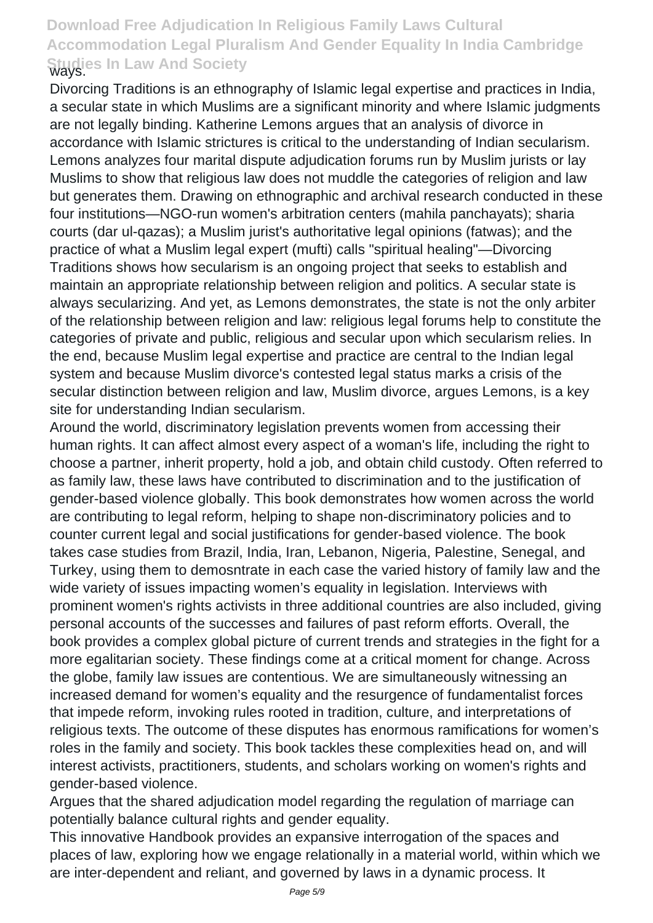Divorcing Traditions is an ethnography of Islamic legal expertise and practices in India, a secular state in which Muslims are a significant minority and where Islamic judgments are not legally binding. Katherine Lemons argues that an analysis of divorce in accordance with Islamic strictures is critical to the understanding of Indian secularism. Lemons analyzes four marital dispute adjudication forums run by Muslim jurists or lay Muslims to show that religious law does not muddle the categories of religion and law but generates them. Drawing on ethnographic and archival research conducted in these four institutions—NGO-run women's arbitration centers (mahila panchayats); sharia courts (dar ul-qazas); a Muslim jurist's authoritative legal opinions (fatwas); and the practice of what a Muslim legal expert (mufti) calls "spiritual healing"—Divorcing Traditions shows how secularism is an ongoing project that seeks to establish and maintain an appropriate relationship between religion and politics. A secular state is always secularizing. And yet, as Lemons demonstrates, the state is not the only arbiter of the relationship between religion and law: religious legal forums help to constitute the categories of private and public, religious and secular upon which secularism relies. In the end, because Muslim legal expertise and practice are central to the Indian legal system and because Muslim divorce's contested legal status marks a crisis of the secular distinction between religion and law, Muslim divorce, argues Lemons, is a key site for understanding Indian secularism.

Around the world, discriminatory legislation prevents women from accessing their human rights. It can affect almost every aspect of a woman's life, including the right to choose a partner, inherit property, hold a job, and obtain child custody. Often referred to as family law, these laws have contributed to discrimination and to the justification of gender-based violence globally. This book demonstrates how women across the world are contributing to legal reform, helping to shape non-discriminatory policies and to counter current legal and social justifications for gender-based violence. The book takes case studies from Brazil, India, Iran, Lebanon, Nigeria, Palestine, Senegal, and Turkey, using them to demosntrate in each case the varied history of family law and the wide variety of issues impacting women's equality in legislation. Interviews with prominent women's rights activists in three additional countries are also included, giving personal accounts of the successes and failures of past reform efforts. Overall, the book provides a complex global picture of current trends and strategies in the fight for a more egalitarian society. These findings come at a critical moment for change. Across the globe, family law issues are contentious. We are simultaneously witnessing an increased demand for women's equality and the resurgence of fundamentalist forces that impede reform, invoking rules rooted in tradition, culture, and interpretations of religious texts. The outcome of these disputes has enormous ramifications for women's roles in the family and society. This book tackles these complexities head on, and will interest activists, practitioners, students, and scholars working on women's rights and gender-based violence.

Argues that the shared adjudication model regarding the regulation of marriage can potentially balance cultural rights and gender equality.

This innovative Handbook provides an expansive interrogation of the spaces and places of law, exploring how we engage relationally in a material world, within which we are inter-dependent and reliant, and governed by laws in a dynamic process. It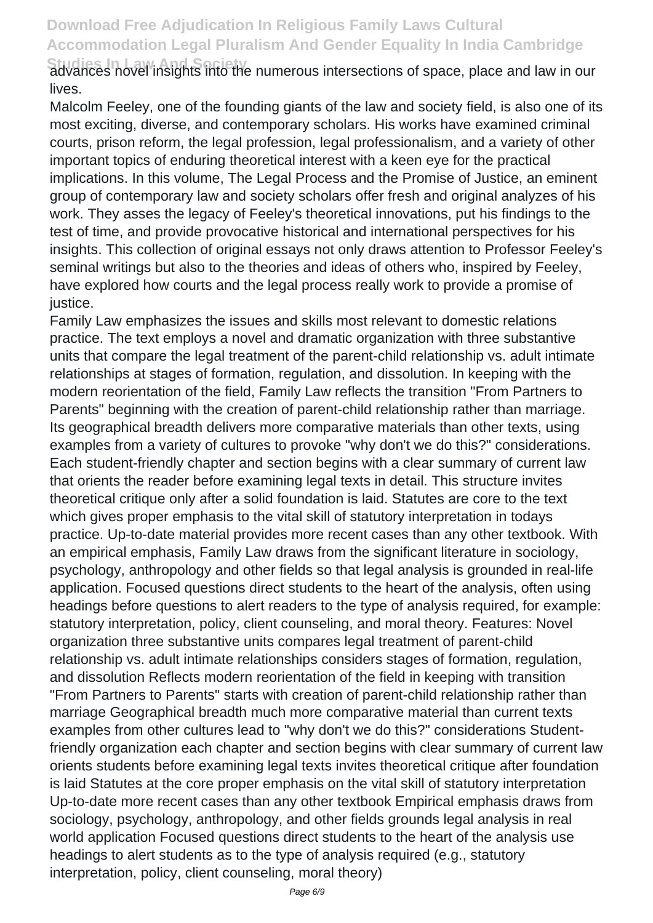**Studies In Law And Society** advances novel insights into the numerous intersections of space, place and law in our lives.

Malcolm Feeley, one of the founding giants of the law and society field, is also one of its most exciting, diverse, and contemporary scholars. His works have examined criminal courts, prison reform, the legal profession, legal professionalism, and a variety of other important topics of enduring theoretical interest with a keen eye for the practical implications. In this volume, The Legal Process and the Promise of Justice, an eminent group of contemporary law and society scholars offer fresh and original analyzes of his work. They asses the legacy of Feeley's theoretical innovations, put his findings to the test of time, and provide provocative historical and international perspectives for his insights. This collection of original essays not only draws attention to Professor Feeley's seminal writings but also to the theories and ideas of others who, inspired by Feeley, have explored how courts and the legal process really work to provide a promise of justice.

Family Law emphasizes the issues and skills most relevant to domestic relations practice. The text employs a novel and dramatic organization with three substantive units that compare the legal treatment of the parent-child relationship vs. adult intimate relationships at stages of formation, regulation, and dissolution. In keeping with the modern reorientation of the field, Family Law reflects the transition "From Partners to Parents" beginning with the creation of parent-child relationship rather than marriage. Its geographical breadth delivers more comparative materials than other texts, using examples from a variety of cultures to provoke "why don't we do this?" considerations. Each student-friendly chapter and section begins with a clear summary of current law that orients the reader before examining legal texts in detail. This structure invites theoretical critique only after a solid foundation is laid. Statutes are core to the text which gives proper emphasis to the vital skill of statutory interpretation in todays practice. Up-to-date material provides more recent cases than any other textbook. With an empirical emphasis, Family Law draws from the significant literature in sociology, psychology, anthropology and other fields so that legal analysis is grounded in real-life application. Focused questions direct students to the heart of the analysis, often using headings before questions to alert readers to the type of analysis required, for example: statutory interpretation, policy, client counseling, and moral theory. Features: Novel organization three substantive units compares legal treatment of parent-child relationship vs. adult intimate relationships considers stages of formation, regulation, and dissolution Reflects modern reorientation of the field in keeping with transition "From Partners to Parents" starts with creation of parent-child relationship rather than marriage Geographical breadth much more comparative material than current texts examples from other cultures lead to "why don't we do this?" considerations Studentfriendly organization each chapter and section begins with clear summary of current law orients students before examining legal texts invites theoretical critique after foundation is laid Statutes at the core proper emphasis on the vital skill of statutory interpretation Up-to-date more recent cases than any other textbook Empirical emphasis draws from sociology, psychology, anthropology, and other fields grounds legal analysis in real world application Focused questions direct students to the heart of the analysis use headings to alert students as to the type of analysis required (e.g., statutory interpretation, policy, client counseling, moral theory)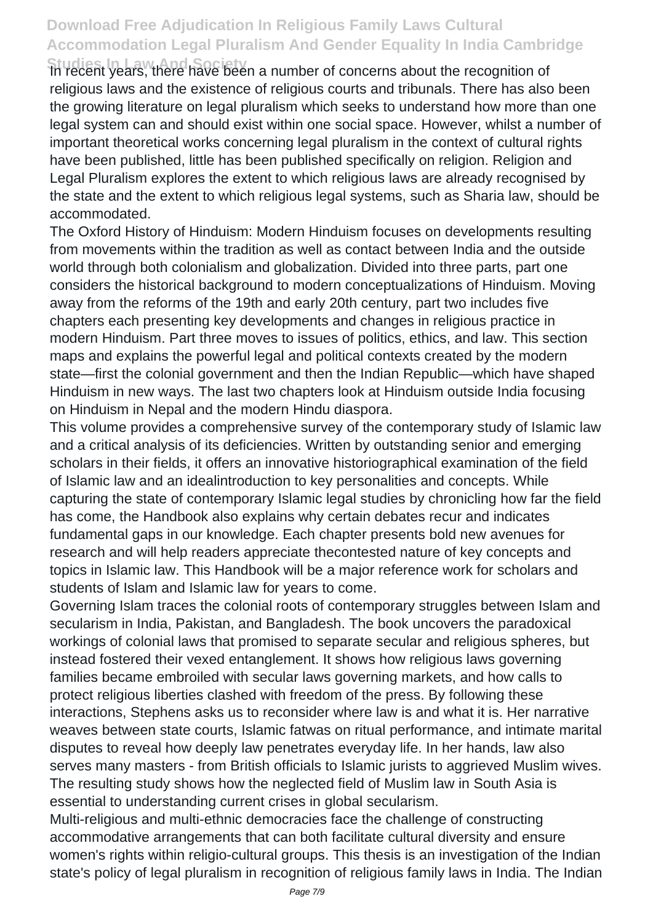**Studies In Law And Society** In recent years, there have been a number of concerns about the recognition of religious laws and the existence of religious courts and tribunals. There has also been the growing literature on legal pluralism which seeks to understand how more than one legal system can and should exist within one social space. However, whilst a number of important theoretical works concerning legal pluralism in the context of cultural rights have been published, little has been published specifically on religion. Religion and Legal Pluralism explores the extent to which religious laws are already recognised by the state and the extent to which religious legal systems, such as Sharia law, should be accommodated.

The Oxford History of Hinduism: Modern Hinduism focuses on developments resulting from movements within the tradition as well as contact between India and the outside world through both colonialism and globalization. Divided into three parts, part one considers the historical background to modern conceptualizations of Hinduism. Moving away from the reforms of the 19th and early 20th century, part two includes five chapters each presenting key developments and changes in religious practice in modern Hinduism. Part three moves to issues of politics, ethics, and law. This section maps and explains the powerful legal and political contexts created by the modern state—first the colonial government and then the Indian Republic—which have shaped Hinduism in new ways. The last two chapters look at Hinduism outside India focusing on Hinduism in Nepal and the modern Hindu diaspora.

This volume provides a comprehensive survey of the contemporary study of Islamic law and a critical analysis of its deficiencies. Written by outstanding senior and emerging scholars in their fields, it offers an innovative historiographical examination of the field of Islamic law and an idealintroduction to key personalities and concepts. While capturing the state of contemporary Islamic legal studies by chronicling how far the field has come, the Handbook also explains why certain debates recur and indicates fundamental gaps in our knowledge. Each chapter presents bold new avenues for research and will help readers appreciate thecontested nature of key concepts and topics in Islamic law. This Handbook will be a major reference work for scholars and students of Islam and Islamic law for years to come.

Governing Islam traces the colonial roots of contemporary struggles between Islam and secularism in India, Pakistan, and Bangladesh. The book uncovers the paradoxical workings of colonial laws that promised to separate secular and religious spheres, but instead fostered their vexed entanglement. It shows how religious laws governing families became embroiled with secular laws governing markets, and how calls to protect religious liberties clashed with freedom of the press. By following these interactions, Stephens asks us to reconsider where law is and what it is. Her narrative weaves between state courts, Islamic fatwas on ritual performance, and intimate marital disputes to reveal how deeply law penetrates everyday life. In her hands, law also serves many masters - from British officials to Islamic jurists to aggrieved Muslim wives. The resulting study shows how the neglected field of Muslim law in South Asia is essential to understanding current crises in global secularism.

Multi-religious and multi-ethnic democracies face the challenge of constructing accommodative arrangements that can both facilitate cultural diversity and ensure women's rights within religio-cultural groups. This thesis is an investigation of the Indian state's policy of legal pluralism in recognition of religious family laws in India. The Indian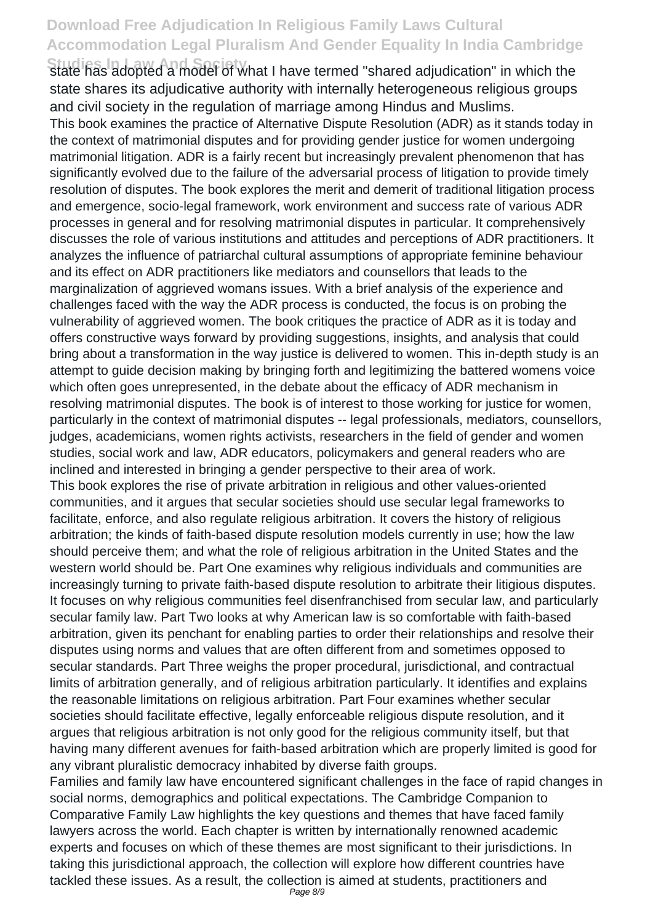Studies In Law And Societ<sup>W</sup>hat I have termed "shared adjudication" in which the state shares its adjudicative authority with internally heterogeneous religious groups and civil society in the regulation of marriage among Hindus and Muslims.

This book examines the practice of Alternative Dispute Resolution (ADR) as it stands today in the context of matrimonial disputes and for providing gender justice for women undergoing matrimonial litigation. ADR is a fairly recent but increasingly prevalent phenomenon that has significantly evolved due to the failure of the adversarial process of litigation to provide timely resolution of disputes. The book explores the merit and demerit of traditional litigation process and emergence, socio-legal framework, work environment and success rate of various ADR processes in general and for resolving matrimonial disputes in particular. It comprehensively discusses the role of various institutions and attitudes and perceptions of ADR practitioners. It analyzes the influence of patriarchal cultural assumptions of appropriate feminine behaviour and its effect on ADR practitioners like mediators and counsellors that leads to the marginalization of aggrieved womans issues. With a brief analysis of the experience and challenges faced with the way the ADR process is conducted, the focus is on probing the vulnerability of aggrieved women. The book critiques the practice of ADR as it is today and offers constructive ways forward by providing suggestions, insights, and analysis that could bring about a transformation in the way justice is delivered to women. This in-depth study is an attempt to guide decision making by bringing forth and legitimizing the battered womens voice which often goes unrepresented, in the debate about the efficacy of ADR mechanism in resolving matrimonial disputes. The book is of interest to those working for justice for women, particularly in the context of matrimonial disputes -- legal professionals, mediators, counsellors, judges, academicians, women rights activists, researchers in the field of gender and women studies, social work and law, ADR educators, policymakers and general readers who are inclined and interested in bringing a gender perspective to their area of work.

This book explores the rise of private arbitration in religious and other values-oriented communities, and it argues that secular societies should use secular legal frameworks to facilitate, enforce, and also regulate religious arbitration. It covers the history of religious arbitration; the kinds of faith-based dispute resolution models currently in use; how the law should perceive them; and what the role of religious arbitration in the United States and the western world should be. Part One examines why religious individuals and communities are increasingly turning to private faith-based dispute resolution to arbitrate their litigious disputes. It focuses on why religious communities feel disenfranchised from secular law, and particularly secular family law. Part Two looks at why American law is so comfortable with faith-based arbitration, given its penchant for enabling parties to order their relationships and resolve their disputes using norms and values that are often different from and sometimes opposed to secular standards. Part Three weighs the proper procedural, jurisdictional, and contractual limits of arbitration generally, and of religious arbitration particularly. It identifies and explains the reasonable limitations on religious arbitration. Part Four examines whether secular societies should facilitate effective, legally enforceable religious dispute resolution, and it argues that religious arbitration is not only good for the religious community itself, but that having many different avenues for faith-based arbitration which are properly limited is good for any vibrant pluralistic democracy inhabited by diverse faith groups.

Families and family law have encountered significant challenges in the face of rapid changes in social norms, demographics and political expectations. The Cambridge Companion to Comparative Family Law highlights the key questions and themes that have faced family lawyers across the world. Each chapter is written by internationally renowned academic experts and focuses on which of these themes are most significant to their jurisdictions. In taking this jurisdictional approach, the collection will explore how different countries have tackled these issues. As a result, the collection is aimed at students, practitioners and